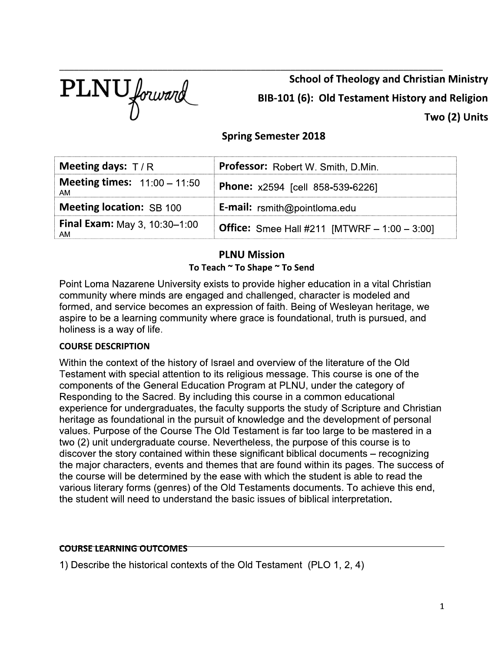

**School of Theology and Christian Ministry** BIB-101 (6): Old Testament History and Religion Two (2) Units

# **Spring Semester 2018**

| Meeting days: $T/R$                         | Professor: Robert W. Smith, D.Min.                     |  |
|---------------------------------------------|--------------------------------------------------------|--|
| <b>Meeting times:</b> $11:00 - 11:50$<br>AM | Phone: x2594 [cell 858-539-6226]                       |  |
| <b>Meeting location: SB 100</b>             | <b>E-mail:</b> rsmith@pointloma.edu                    |  |
| <b>Final Exam: May 3, 10:30-1:00</b><br>AM. | <b>Office:</b> Smee Hall #211 [MTWRF $- 1:00 - 3:00$ ] |  |

# **PLNU Mission**

To Teach ~ To Shape ~ To Send

Point Loma Nazarene University exists to provide higher education in a vital Christian community where minds are engaged and challenged, character is modeled and formed, and service becomes an expression of faith. Being of Wesleyan heritage, we aspire to be a learning community where grace is foundational, truth is pursued, and holiness is a way of life.

## **COURSE DESCRIPTION**

Within the context of the history of Israel and overview of the literature of the Old Testament with special attention to its religious message. This course is one of the components of the General Education Program at PLNU, under the category of Responding to the Sacred. By including this course in a common educational experience for undergraduates, the faculty supports the study of Scripture and Christian heritage as foundational in the pursuit of knowledge and the development of personal values. Purpose of the Course The Old Testament is far too large to be mastered in a two (2) unit undergraduate course. Nevertheless, the purpose of this course is to discover the story contained within these significant biblical documents - recognizing the major characters, events and themes that are found within its pages. The success of the course will be determined by the ease with which the student is able to read the various literary forms (genres) of the Old Testaments documents. To achieve this end, the student will need to understand the basic issues of biblical interpretation.

#### **COURSE LEARNING OUTCOMES**

1) Describe the historical contexts of the Old Testament (PLO 1, 2, 4)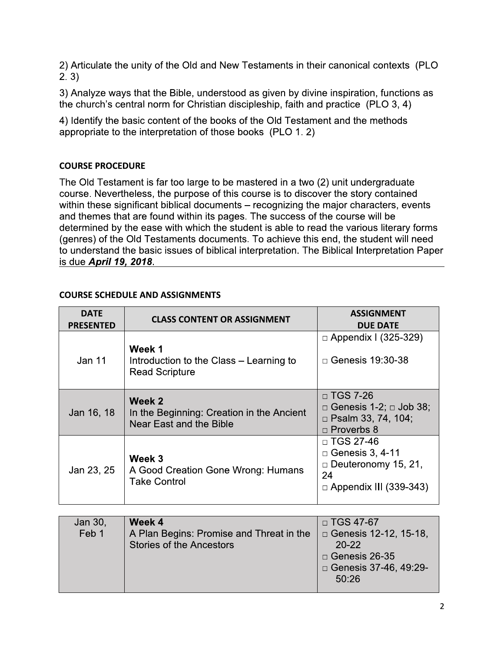2) Articulate the unity of the Old and New Testaments in their canonical contexts (PLO  $2.3)$ 

3) Analyze ways that the Bible, understood as given by divine inspiration, functions as the church's central norm for Christian discipleship, faith and practice (PLO 3, 4)

4) Identify the basic content of the books of the Old Testament and the methods appropriate to the interpretation of those books (PLO 1.2)

# **COURSE PROCEDURE**

The Old Testament is far too large to be mastered in a two (2) unit undergraduate course. Nevertheless, the purpose of this course is to discover the story contained within these significant biblical documents - recognizing the major characters, events and themes that are found within its pages. The success of the course will be determined by the ease with which the student is able to read the various literary forms (genres) of the Old Testaments documents. To achieve this end, the student will need to understand the basic issues of biblical interpretation. The Biblical Interpretation Paper is due April 19, 2018.

| <b>DATE</b><br><b>PRESENTED</b> | <b>CLASS CONTENT OR ASSIGNMENT</b>                                             | <b>ASSIGNMENT</b><br><b>DUE DATE</b>                                                                            |
|---------------------------------|--------------------------------------------------------------------------------|-----------------------------------------------------------------------------------------------------------------|
| Jan 11                          | Week 1<br>Introduction to the Class - Learning to<br><b>Read Scripture</b>     | $\Box$ Appendix I (325-329)<br>$\Box$ Genesis 19:30-38                                                          |
| Jan 16, 18                      | Week 2<br>In the Beginning: Creation in the Ancient<br>Near East and the Bible | $\Box$ TGS 7-26<br>$\Box$ Genesis 1-2; $\Box$ Job 38;<br>$\Box$ Psalm 33, 74, 104;<br>$\Box$ Proverbs 8         |
| Jan 23, 25                      | Week 3<br>A Good Creation Gone Wrong: Humans<br><b>Take Control</b>            | $\Box$ TGS 27-46<br>$\Box$ Genesis 3, 4-11<br>$\Box$ Deuteronomy 15, 21,<br>24<br>$\Box$ Appendix III (339-343) |

# **COURSE SCHEDULE AND ASSIGNMENTS**

| Jan 30, | Week 4                                   | $\Box$ TGS 47-67             |
|---------|------------------------------------------|------------------------------|
| Feb 1   | A Plan Begins: Promise and Threat in the | $\Box$ Genesis 12-12, 15-18, |
|         | <b>Stories of the Ancestors</b>          | $20 - 22$                    |
|         |                                          | $\Box$ Genesis 26-35         |
|         |                                          | □ Genesis 37-46, 49:29-      |
|         |                                          | 50:26                        |
|         |                                          |                              |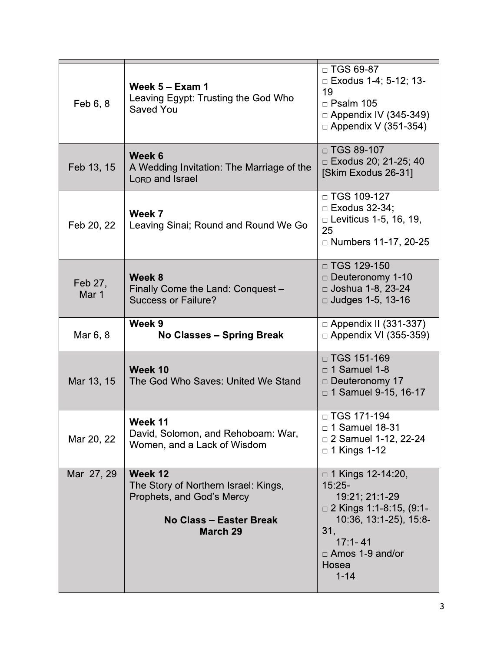| Feb 6, 8         | Week $5 - Exam$ 1<br>Leaving Egypt: Trusting the God Who<br>Saved You                                                             | $\Box$ TGS 69-87<br>$\Box$ Exodus 1-4; 5-12; 13-<br>19<br>$\Box$ Psalm 105<br>$\Box$ Appendix IV (345-349)<br>$\Box$ Appendix V (351-354)                                          |
|------------------|-----------------------------------------------------------------------------------------------------------------------------------|------------------------------------------------------------------------------------------------------------------------------------------------------------------------------------|
| Feb 13, 15       | Week 6<br>A Wedding Invitation: The Marriage of the<br><b>LORD</b> and Israel                                                     | $\Box$ TGS 89-107<br>□ Exodus 20; 21-25; 40<br>[Skim Exodus 26-31]                                                                                                                 |
| Feb 20, 22       | Week 7<br>Leaving Sinai; Round and Round We Go                                                                                    | $\Box$ TGS 109-127<br>$\Box$ Exodus 32-34;<br>$\Box$ Leviticus 1-5, 16, 19,<br>25<br>□ Numbers 11-17, 20-25                                                                        |
| Feb 27,<br>Mar 1 | Week 8<br>Finally Come the Land: Conquest -<br><b>Success or Failure?</b>                                                         | $\Box$ TGS 129-150<br>$\Box$ Deuteronomy 1-10<br>□ Joshua 1-8, 23-24<br>$\Box$ Judges 1-5, 13-16                                                                                   |
| Mar 6, 8         | Week 9<br><b>No Classes - Spring Break</b>                                                                                        | $\Box$ Appendix II (331-337)<br>$\Box$ Appendix VI (355-359)                                                                                                                       |
| Mar 13, 15       | Week 10<br>The God Who Saves: United We Stand                                                                                     | □ TGS 151-169<br>$\Box$ 1 Samuel 1-8<br>$\Box$ Deuteronomy 17<br>$\Box$ 1 Samuel 9-15, 16-17                                                                                       |
| Mar 20, 22       | Week 11<br>David, Solomon, and Rehoboam: War,<br>Women, and a Lack of Wisdom                                                      | □ TGS 171-194<br>□ 1 Samuel 18-31<br>$\Box$ 2 Samuel 1-12, 22-24<br>$\Box$ 1 Kings 1-12                                                                                            |
| Mar 27, 29       | Week 12<br>The Story of Northern Israel: Kings,<br>Prophets, and God's Mercy<br><b>No Class - Easter Break</b><br><b>March 29</b> | □ 1 Kings 12-14:20,<br>$15:25-$<br>19:21; 21:1-29<br>$\Box$ 2 Kings 1:1-8:15, (9:1-<br>10:36, 13:1-25), 15:8-<br>31,<br>$17:1 - 41$<br>$\Box$ Amos 1-9 and/or<br>Hosea<br>$1 - 14$ |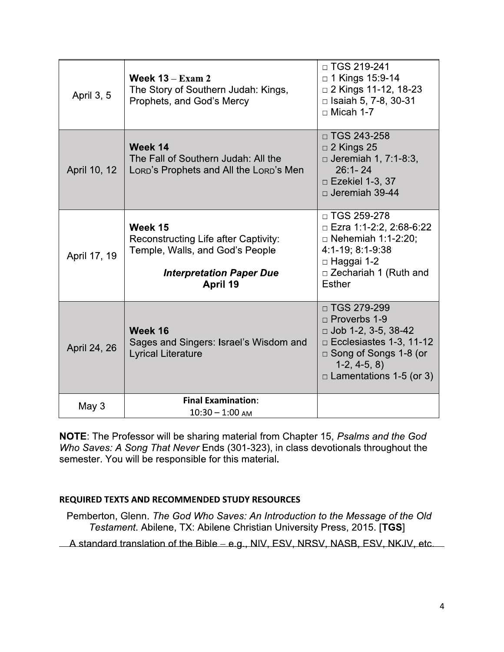| April 3, 5   | Week $13 - Exam$ 2<br>The Story of Southern Judah: Kings,<br>Prophets, and God's Mercy                                            | □ TGS 219-241<br>□ 1 Kings 15:9-14<br>$\Box$ 2 Kings 11-12, 18-23<br>$\Box$ Isaiah 5, 7-8, 30-31<br>$\Box$ Micah 1-7                                                                    |
|--------------|-----------------------------------------------------------------------------------------------------------------------------------|-----------------------------------------------------------------------------------------------------------------------------------------------------------------------------------------|
| April 10, 12 | Week 14<br>The Fall of Southern Judah: All the<br>LORD's Prophets and All the LORD's Men                                          | $\Box$ TGS 243-258<br>$\Box$ 2 Kings 25<br>$\Box$ Jeremiah 1, 7:1-8:3,<br>$26:1 - 24$<br>$\Box$ Ezekiel 1-3, 37<br>$\Box$ Jeremiah 39-44                                                |
| April 17, 19 | Week 15<br>Reconstructing Life after Captivity:<br>Temple, Walls, and God's People<br><b>Interpretation Paper Due</b><br>April 19 | □ TGS 259-278<br>$\Box$ Ezra 1:1-2:2, 2:68-6:22<br>$\Box$ Nehemiah 1:1-2:20;<br>4:1-19; 8:1-9:38<br>□ Haggai 1-2<br>$\Box$ Zechariah 1 (Ruth and<br><b>Esther</b>                       |
| April 24, 26 | Week 16<br>Sages and Singers: Israel's Wisdom and<br><b>Lyrical Literature</b>                                                    | □ TGS 279-299<br>$\Box$ Proverbs 1-9<br>$\Box$ Job 1-2, 3-5, 38-42<br>$\Box$ Ecclesiastes 1-3, 11-12<br>$\Box$ Song of Songs 1-8 (or<br>$1-2, 4-5, 8$<br>$\Box$ Lamentations 1-5 (or 3) |
| May 3        | <b>Final Examination:</b><br>$10:30 - 1:00$ AM                                                                                    |                                                                                                                                                                                         |

NOTE: The Professor will be sharing material from Chapter 15, Psalms and the God Who Saves: A Song That Never Ends (301-323), in class devotionals throughout the semester. You will be responsible for this material.

#### REQUIRED TEXTS AND RECOMMENDED STUDY RESOURCES

Pemberton, Glenn. The God Who Saves: An Introduction to the Message of the Old Testament. Abilene, TX: Abilene Christian University Press, 2015. [TGS]

A standard translation of the Bible – e.g., NIV, ESV, NRSV, NASB, ESV, NKJV, etc.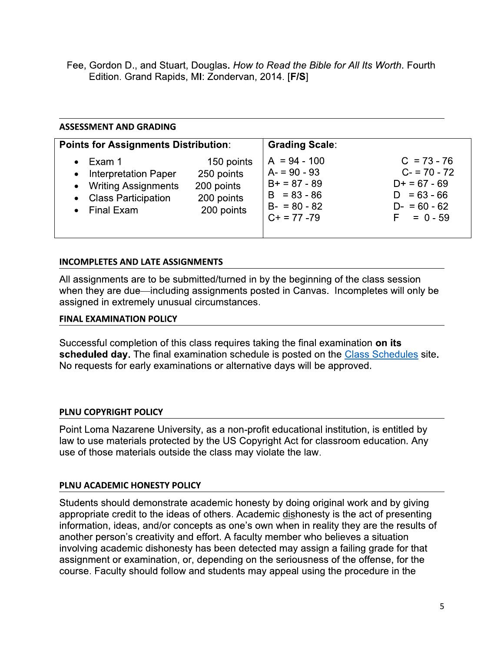Fee, Gordon D., and Stuart, Douglas. How to Read the Bible for All Its Worth. Fourth Edition. Grand Rapids, MI: Zondervan, 2014. [F/S]

# **ASSESSMENT AND GRADING**

| <b>Points for Assignments Distribution:</b>                                                                          |                                                                    | <b>Grading Scale:</b>                                                                                 |                                                                                                    |
|----------------------------------------------------------------------------------------------------------------------|--------------------------------------------------------------------|-------------------------------------------------------------------------------------------------------|----------------------------------------------------------------------------------------------------|
| $\bullet$ Exam 1<br>• Interpretation Paper<br>• Writing Assignments<br>• Class Participation<br>$\bullet$ Final Exam | 150 points<br>250 points<br>200 points<br>200 points<br>200 points | $A = 94 - 100$<br>$A = 90 - 93$<br>$B+ = 87 - 89$<br>$B = 83 - 86$<br>$B - 80 - 82$<br>$C+ = 77 - 79$ | $C = 73 - 76$<br>$C = 70 - 72$<br>$D+ = 67 - 69$<br>$D = 63 - 66$<br>$D - 60 - 62$<br>$F = 0 - 59$ |

## **INCOMPLETES AND LATE ASSIGNMENTS**

All assignments are to be submitted/turned in by the beginning of the class session when they are due—including assignments posted in Canvas. Incompletes will only be assigned in extremely unusual circumstances.

#### **FINAL EXAMINATION POLICY**

Successful completion of this class requires taking the final examination on its scheduled day. The final examination schedule is posted on the Class Schedules site. No requests for early examinations or alternative days will be approved.

## PLNU COPYRIGHT POLICY

Point Loma Nazarene University, as a non-profit educational institution, is entitled by law to use materials protected by the US Copyright Act for classroom education. Any use of those materials outside the class may violate the law.

## PLNU ACADEMIC HONESTY POLICY

Students should demonstrate academic honesty by doing original work and by giving appropriate credit to the ideas of others. Academic dishonesty is the act of presenting information, ideas, and/or concepts as one's own when in reality they are the results of another person's creativity and effort. A faculty member who believes a situation involving academic dishonesty has been detected may assign a failing grade for that assignment or examination, or, depending on the seriousness of the offense, for the course. Faculty should follow and students may appeal using the procedure in the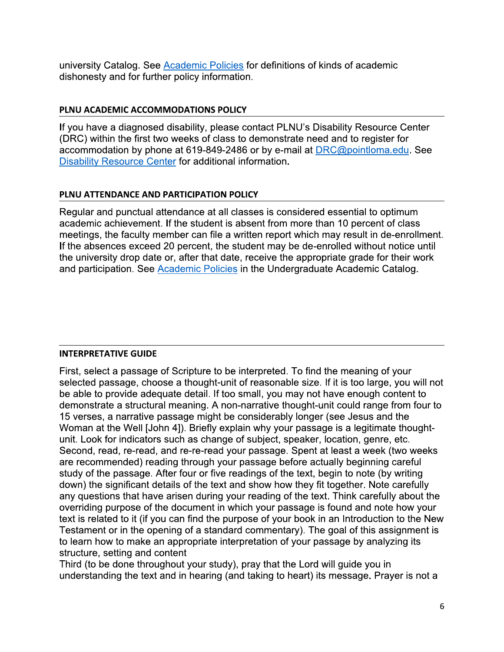university Catalog. See Academic Policies for definitions of kinds of academic dishonesty and for further policy information.

#### PLNU ACADEMIC ACCOMMODATIONS POLICY

If you have a diagnosed disability, please contact PLNU's Disability Resource Center (DRC) within the first two weeks of class to demonstrate need and to register for accommodation by phone at 619-849-2486 or by e-mail at DRC@pointloma.edu. See Disability Resource Center for additional information.

#### PLNU ATTENDANCE AND PARTICIPATION POLICY

Regular and punctual attendance at all classes is considered essential to optimum academic achievement. If the student is absent from more than 10 percent of class meetings, the faculty member can file a written report which may result in de-enrollment. If the absences exceed 20 percent, the student may be de-enrolled without notice until the university drop date or, after that date, receive the appropriate grade for their work and participation. See Academic Policies in the Undergraduate Academic Catalog.

## **INTERPRETATIVE GUIDE**

First, select a passage of Scripture to be interpreted. To find the meaning of your selected passage, choose a thought-unit of reasonable size. If it is too large, you will not be able to provide adequate detail. If too small, you may not have enough content to demonstrate a structural meaning. A non-narrative thought-unit could range from four to 15 verses, a narrative passage might be considerably longer (see Jesus and the Woman at the Well [John 4]). Briefly explain why your passage is a legitimate thoughtunit. Look for indicators such as change of subject, speaker, location, genre, etc. Second, read, re-read, and re-re-read your passage. Spent at least a week (two weeks are recommended) reading through your passage before actually beginning careful study of the passage. After four or five readings of the text, begin to note (by writing down) the significant details of the text and show how they fit together. Note carefully any questions that have arisen during your reading of the text. Think carefully about the overriding purpose of the document in which your passage is found and note how your text is related to it (if you can find the purpose of your book in an Introduction to the New Testament or in the opening of a standard commentary). The goal of this assignment is to learn how to make an appropriate interpretation of your passage by analyzing its structure, setting and content

Third (to be done throughout your study), pray that the Lord will guide you in understanding the text and in hearing (and taking to heart) its message. Prayer is not a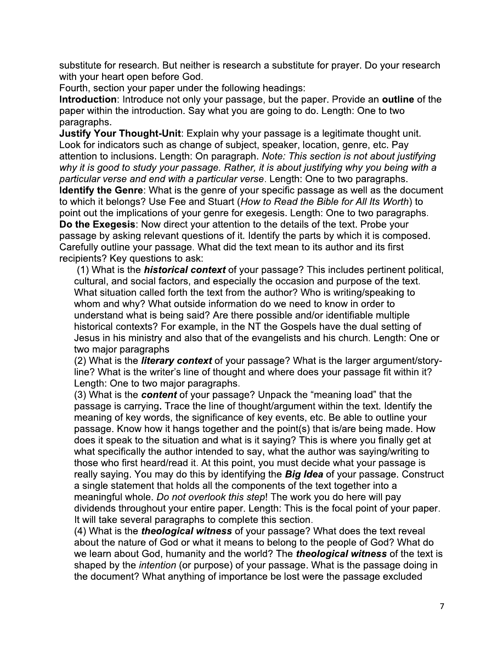substitute for research. But neither is research a substitute for prayer. Do your research with your heart open before God.

Fourth, section your paper under the following headings:

Introduction: Introduce not only your passage, but the paper. Provide an outline of the paper within the introduction. Say what you are going to do. Length: One to two paragraphs.

Justify Your Thought-Unit: Explain why your passage is a legitimate thought unit. Look for indicators such as change of subject, speaker, location, genre, etc. Pay attention to inclusions. Length: On paragraph. Note: This section is not about justifying why it is good to study your passage. Rather, it is about justifying why you being with a particular verse and end with a particular verse. Length: One to two paragraphs. Identify the Genre: What is the genre of your specific passage as well as the document to which it belongs? Use Fee and Stuart (How to Read the Bible for All Its Worth) to point out the implications of your genre for exegesis. Length: One to two paragraphs. Do the Exegesis: Now direct your attention to the details of the text. Probe your passage by asking relevant questions of it. Identify the parts by which it is composed. Carefully outline your passage. What did the text mean to its author and its first recipients? Key questions to ask:

(1) What is the *historical context* of your passage? This includes pertinent political, cultural, and social factors, and especially the occasion and purpose of the text. What situation called forth the text from the author? Who is writing/speaking to whom and why? What outside information do we need to know in order to understand what is being said? Are there possible and/or identifiable multiple historical contexts? For example, in the NT the Gospels have the dual setting of Jesus in his ministry and also that of the evangelists and his church. Length: One or two major paragraphs

(2) What is the *literary context* of your passage? What is the larger argument/storyline? What is the writer's line of thought and where does your passage fit within it? Length: One to two major paragraphs.

(3) What is the content of your passage? Unpack the "meaning load" that the passage is carrying. Trace the line of thought/argument within the text. Identify the meaning of key words, the significance of key events, etc. Be able to outline your passage. Know how it hangs together and the point(s) that is/are being made. How does it speak to the situation and what is it saying? This is where you finally get at what specifically the author intended to say, what the author was saying/writing to those who first heard/read it. At this point, you must decide what your passage is really saying. You may do this by identifying the Big Idea of your passage. Construct a single statement that holds all the components of the text together into a meaningful whole. Do not overlook this step! The work you do here will pay dividends throughout your entire paper. Length: This is the focal point of your paper. It will take several paragraphs to complete this section.

(4) What is the *theological witness* of your passage? What does the text reveal about the nature of God or what it means to belong to the people of God? What do we learn about God, humanity and the world? The *theological witness* of the text is shaped by the intention (or purpose) of your passage. What is the passage doing in the document? What anything of importance be lost were the passage excluded